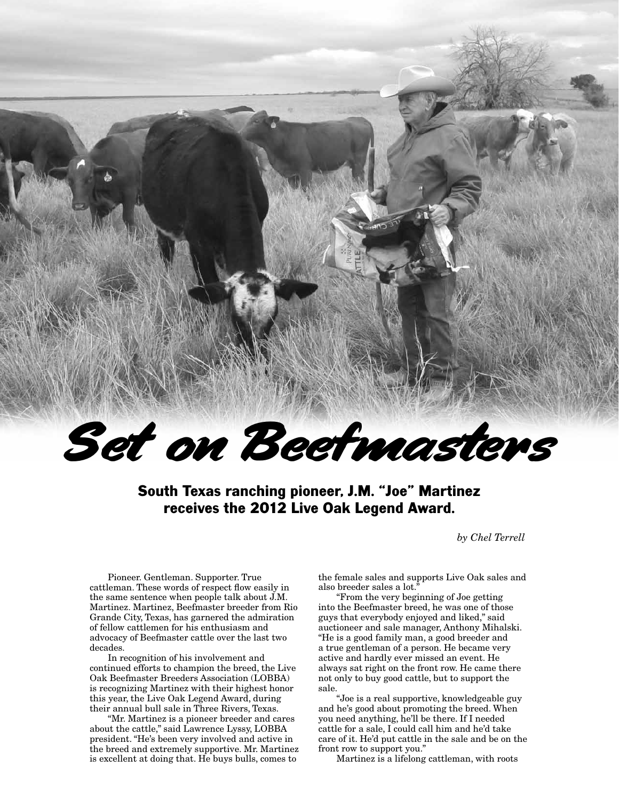

South Texas ranching pioneer, J.M. "Joe" Martinez receives the 2012 Live Oak Legend Award.

*by Chel Terrell*

Pioneer. Gentleman. Supporter. True cattleman. These words of respect flow easily in the same sentence when people talk about J.M. Martinez. Martinez, Beefmaster breeder from Rio Grande City, Texas, has garnered the admiration of fellow cattlemen for his enthusiasm and advocacy of Beefmaster cattle over the last two decades.

In recognition of his involvement and continued efforts to champion the breed, the Live Oak Beefmaster Breeders Association (LOBBA) is recognizing Martinez with their highest honor this year, the Live Oak Legend Award, during their annual bull sale in Three Rivers, Texas.

"Mr. Martinez is a pioneer breeder and cares about the cattle," said Lawrence Lyssy, LOBBA president. "He's been very involved and active in the breed and extremely supportive. Mr. Martinez is excellent at doing that. He buys bulls, comes to

the female sales and supports Live Oak sales and also breeder sales a lot."

"From the very beginning of Joe getting into the Beefmaster breed, he was one of those guys that everybody enjoyed and liked," said auctioneer and sale manager, Anthony Mihalski. "He is a good family man, a good breeder and a true gentleman of a person. He became very active and hardly ever missed an event. He always sat right on the front row. He came there not only to buy good cattle, but to support the sale.

"Joe is a real supportive, knowledgeable guy and he's good about promoting the breed. When you need anything, he'll be there. If I needed cattle for a sale, I could call him and he'd take care of it. He'd put cattle in the sale and be on the front row to support you."

Martinez is a lifelong cattleman, with roots